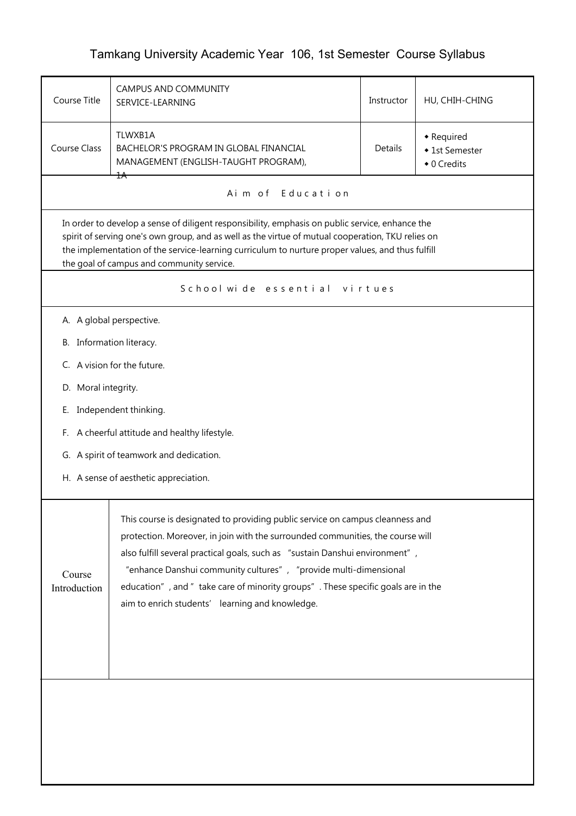## Tamkang University Academic Year 106, 1st Semester Course Syllabus

| Course Title                                                                                                                                                                                                                                                                                                                                                                                                                                                                         | CAMPUS AND COMMUNITY<br>SERVICE-LEARNING                                                  | Instructor     | HU, CHIH-CHING                              |  |  |  |  |  |  |
|--------------------------------------------------------------------------------------------------------------------------------------------------------------------------------------------------------------------------------------------------------------------------------------------------------------------------------------------------------------------------------------------------------------------------------------------------------------------------------------|-------------------------------------------------------------------------------------------|----------------|---------------------------------------------|--|--|--|--|--|--|
| <b>Course Class</b>                                                                                                                                                                                                                                                                                                                                                                                                                                                                  | TLWXB1A<br>BACHELOR'S PROGRAM IN GLOBAL FINANCIAL<br>MANAGEMENT (ENGLISH-TAUGHT PROGRAM), | <b>Details</b> | • Required<br>◆ 1st Semester<br>◆ 0 Credits |  |  |  |  |  |  |
|                                                                                                                                                                                                                                                                                                                                                                                                                                                                                      | ΪA<br>Aim of Education                                                                    |                |                                             |  |  |  |  |  |  |
| In order to develop a sense of diligent responsibility, emphasis on public service, enhance the<br>spirit of serving one's own group, and as well as the virtue of mutual cooperation, TKU relies on<br>the implementation of the service-learning curriculum to nurture proper values, and thus fulfill<br>the goal of campus and community service.                                                                                                                                |                                                                                           |                |                                             |  |  |  |  |  |  |
|                                                                                                                                                                                                                                                                                                                                                                                                                                                                                      | School wide essential virtues                                                             |                |                                             |  |  |  |  |  |  |
| A. A global perspective.<br>B. Information literacy.<br>C. A vision for the future.<br>D. Moral integrity.<br>Independent thinking.<br>Е.<br>A cheerful attitude and healthy lifestyle.<br>F.<br>G. A spirit of teamwork and dedication.<br>H. A sense of aesthetic appreciation.                                                                                                                                                                                                    |                                                                                           |                |                                             |  |  |  |  |  |  |
| This course is designated to providing public service on campus cleanness and<br>protection. Moreover, in join with the surrounded communities, the course will<br>also fulfill several practical goals, such as "sustain Danshui environment",<br>"enhance Danshui community cultures", "provide multi-dimensional<br>Course<br>education", and " take care of minority groups". These specific goals are in the<br>Introduction<br>aim to enrich students' learning and knowledge. |                                                                                           |                |                                             |  |  |  |  |  |  |
|                                                                                                                                                                                                                                                                                                                                                                                                                                                                                      |                                                                                           |                |                                             |  |  |  |  |  |  |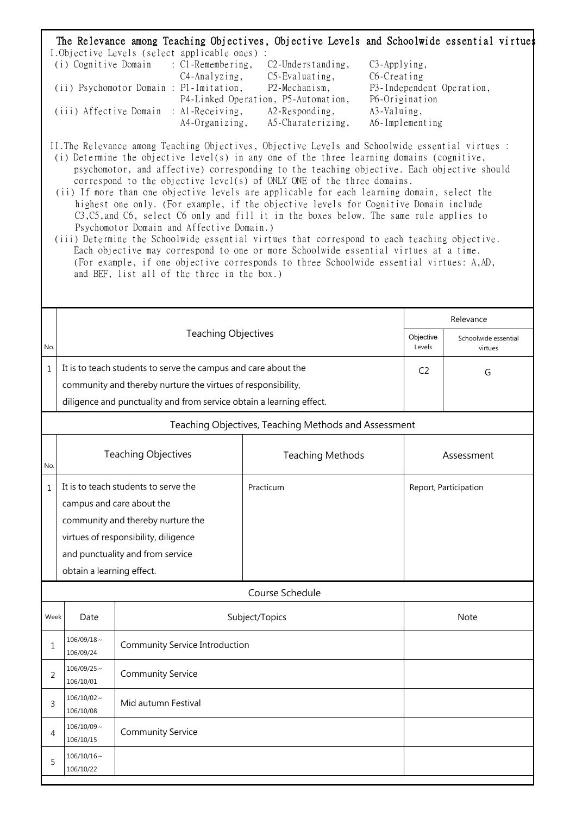| The Relevance among Teaching Objectives, Objective Levels and Schoolwide essential virtues<br>I.Objective Levels (select applicable ones) :<br>(i) Cognitive Domain<br>$\therefore$ C1-Remembering,<br>C <sub>2</sub> -Understanding,<br>C <sub>3</sub> -Applying,<br>C4-Analyzing,<br>C5-Evaluating,<br>$C6$ -Creating<br>(ii) Psychomotor Domain : P1-Imitation,<br>P2-Mechanism,<br>P3-Independent Operation,<br>P4-Linked Operation, P5-Automation,<br>P6-Origination<br>(iii) Affective Domain : Al-Receiving,<br>A2-Responding,<br>A3-Valuing,<br>A4-Organizing,<br>A5-Charaterizing,<br>A6-Implementing<br>II. The Relevance among Teaching Objectives, Objective Levels and Schoolwide essential virtues :<br>(i) Determine the objective level(s) in any one of the three learning domains (cognitive,<br>psychomotor, and affective) corresponding to the teaching objective. Each objective should<br>correspond to the objective level(s) of ONLY ONE of the three domains.<br>(ii) If more than one objective levels are applicable for each learning domain, select the<br>highest one only. (For example, if the objective levels for Cognitive Domain include<br>C3, C5, and C6, select C6 only and fill it in the boxes below. The same rule applies to<br>Psychomotor Domain and Affective Domain.)<br>(iii) Determine the Schoolwide essential virtues that correspond to each teaching objective.<br>Each objective may correspond to one or more Schoolwide essential virtues at a time.<br>(For example, if one objective corresponds to three Schoolwide essential virtues: A,AD,<br>and BEF, list all of the three in the box.) |                                                        |                                                                      |                                                      |                       |                                 |  |  |  |
|---------------------------------------------------------------------------------------------------------------------------------------------------------------------------------------------------------------------------------------------------------------------------------------------------------------------------------------------------------------------------------------------------------------------------------------------------------------------------------------------------------------------------------------------------------------------------------------------------------------------------------------------------------------------------------------------------------------------------------------------------------------------------------------------------------------------------------------------------------------------------------------------------------------------------------------------------------------------------------------------------------------------------------------------------------------------------------------------------------------------------------------------------------------------------------------------------------------------------------------------------------------------------------------------------------------------------------------------------------------------------------------------------------------------------------------------------------------------------------------------------------------------------------------------------------------------------------------------------------------------------------------------------------|--------------------------------------------------------|----------------------------------------------------------------------|------------------------------------------------------|-----------------------|---------------------------------|--|--|--|
|                                                                                                                                                                                                                                                                                                                                                                                                                                                                                                                                                                                                                                                                                                                                                                                                                                                                                                                                                                                                                                                                                                                                                                                                                                                                                                                                                                                                                                                                                                                                                                                                                                                         |                                                        |                                                                      |                                                      |                       |                                 |  |  |  |
|                                                                                                                                                                                                                                                                                                                                                                                                                                                                                                                                                                                                                                                                                                                                                                                                                                                                                                                                                                                                                                                                                                                                                                                                                                                                                                                                                                                                                                                                                                                                                                                                                                                         |                                                        |                                                                      |                                                      |                       |                                 |  |  |  |
|                                                                                                                                                                                                                                                                                                                                                                                                                                                                                                                                                                                                                                                                                                                                                                                                                                                                                                                                                                                                                                                                                                                                                                                                                                                                                                                                                                                                                                                                                                                                                                                                                                                         |                                                        |                                                                      |                                                      | Relevance             |                                 |  |  |  |
| No.                                                                                                                                                                                                                                                                                                                                                                                                                                                                                                                                                                                                                                                                                                                                                                                                                                                                                                                                                                                                                                                                                                                                                                                                                                                                                                                                                                                                                                                                                                                                                                                                                                                     |                                                        | <b>Teaching Objectives</b>                                           |                                                      | Objective<br>Levels   | Schoolwide essential<br>virtues |  |  |  |
| $\mathbf{1}$                                                                                                                                                                                                                                                                                                                                                                                                                                                                                                                                                                                                                                                                                                                                                                                                                                                                                                                                                                                                                                                                                                                                                                                                                                                                                                                                                                                                                                                                                                                                                                                                                                            |                                                        | It is to teach students to serve the campus and care about the       |                                                      | C <sub>2</sub>        | G                               |  |  |  |
|                                                                                                                                                                                                                                                                                                                                                                                                                                                                                                                                                                                                                                                                                                                                                                                                                                                                                                                                                                                                                                                                                                                                                                                                                                                                                                                                                                                                                                                                                                                                                                                                                                                         |                                                        | community and thereby nurture the virtues of responsibility,         |                                                      |                       |                                 |  |  |  |
|                                                                                                                                                                                                                                                                                                                                                                                                                                                                                                                                                                                                                                                                                                                                                                                                                                                                                                                                                                                                                                                                                                                                                                                                                                                                                                                                                                                                                                                                                                                                                                                                                                                         |                                                        | diligence and punctuality and from service obtain a learning effect. |                                                      |                       |                                 |  |  |  |
|                                                                                                                                                                                                                                                                                                                                                                                                                                                                                                                                                                                                                                                                                                                                                                                                                                                                                                                                                                                                                                                                                                                                                                                                                                                                                                                                                                                                                                                                                                                                                                                                                                                         |                                                        |                                                                      | Teaching Objectives, Teaching Methods and Assessment |                       |                                 |  |  |  |
| No.                                                                                                                                                                                                                                                                                                                                                                                                                                                                                                                                                                                                                                                                                                                                                                                                                                                                                                                                                                                                                                                                                                                                                                                                                                                                                                                                                                                                                                                                                                                                                                                                                                                     |                                                        | <b>Teaching Objectives</b>                                           | <b>Teaching Methods</b>                              | Assessment            |                                 |  |  |  |
| 1                                                                                                                                                                                                                                                                                                                                                                                                                                                                                                                                                                                                                                                                                                                                                                                                                                                                                                                                                                                                                                                                                                                                                                                                                                                                                                                                                                                                                                                                                                                                                                                                                                                       |                                                        | It is to teach students to serve the                                 | Practicum                                            | Report, Participation |                                 |  |  |  |
|                                                                                                                                                                                                                                                                                                                                                                                                                                                                                                                                                                                                                                                                                                                                                                                                                                                                                                                                                                                                                                                                                                                                                                                                                                                                                                                                                                                                                                                                                                                                                                                                                                                         | campus and care about the                              |                                                                      |                                                      |                       |                                 |  |  |  |
|                                                                                                                                                                                                                                                                                                                                                                                                                                                                                                                                                                                                                                                                                                                                                                                                                                                                                                                                                                                                                                                                                                                                                                                                                                                                                                                                                                                                                                                                                                                                                                                                                                                         |                                                        | community and thereby nurture the                                    |                                                      |                       |                                 |  |  |  |
|                                                                                                                                                                                                                                                                                                                                                                                                                                                                                                                                                                                                                                                                                                                                                                                                                                                                                                                                                                                                                                                                                                                                                                                                                                                                                                                                                                                                                                                                                                                                                                                                                                                         |                                                        | virtues of responsibility, diligence                                 |                                                      |                       |                                 |  |  |  |
|                                                                                                                                                                                                                                                                                                                                                                                                                                                                                                                                                                                                                                                                                                                                                                                                                                                                                                                                                                                                                                                                                                                                                                                                                                                                                                                                                                                                                                                                                                                                                                                                                                                         |                                                        | and punctuality and from service                                     |                                                      |                       |                                 |  |  |  |
|                                                                                                                                                                                                                                                                                                                                                                                                                                                                                                                                                                                                                                                                                                                                                                                                                                                                                                                                                                                                                                                                                                                                                                                                                                                                                                                                                                                                                                                                                                                                                                                                                                                         | obtain a learning effect.                              |                                                                      |                                                      |                       |                                 |  |  |  |
|                                                                                                                                                                                                                                                                                                                                                                                                                                                                                                                                                                                                                                                                                                                                                                                                                                                                                                                                                                                                                                                                                                                                                                                                                                                                                                                                                                                                                                                                                                                                                                                                                                                         |                                                        |                                                                      | Course Schedule                                      |                       |                                 |  |  |  |
| Week                                                                                                                                                                                                                                                                                                                                                                                                                                                                                                                                                                                                                                                                                                                                                                                                                                                                                                                                                                                                                                                                                                                                                                                                                                                                                                                                                                                                                                                                                                                                                                                                                                                    | Date                                                   |                                                                      | Subject/Topics                                       |                       | Note                            |  |  |  |
| 1                                                                                                                                                                                                                                                                                                                                                                                                                                                                                                                                                                                                                                                                                                                                                                                                                                                                                                                                                                                                                                                                                                                                                                                                                                                                                                                                                                                                                                                                                                                                                                                                                                                       | $106/09/18 \sim$<br>106/09/24                          | Community Service Introduction                                       |                                                      |                       |                                 |  |  |  |
| 2                                                                                                                                                                                                                                                                                                                                                                                                                                                                                                                                                                                                                                                                                                                                                                                                                                                                                                                                                                                                                                                                                                                                                                                                                                                                                                                                                                                                                                                                                                                                                                                                                                                       | $106/09/25$ ~<br>106/10/01                             | <b>Community Service</b>                                             |                                                      |                       |                                 |  |  |  |
| 3                                                                                                                                                                                                                                                                                                                                                                                                                                                                                                                                                                                                                                                                                                                                                                                                                                                                                                                                                                                                                                                                                                                                                                                                                                                                                                                                                                                                                                                                                                                                                                                                                                                       | $106/10/02 \sim$<br>Mid autumn Festival<br>106/10/08   |                                                                      |                                                      |                       |                                 |  |  |  |
| 4                                                                                                                                                                                                                                                                                                                                                                                                                                                                                                                                                                                                                                                                                                                                                                                                                                                                                                                                                                                                                                                                                                                                                                                                                                                                                                                                                                                                                                                                                                                                                                                                                                                       | $106/10/09$ ~<br><b>Community Service</b><br>106/10/15 |                                                                      |                                                      |                       |                                 |  |  |  |
| 5                                                                                                                                                                                                                                                                                                                                                                                                                                                                                                                                                                                                                                                                                                                                                                                                                                                                                                                                                                                                                                                                                                                                                                                                                                                                                                                                                                                                                                                                                                                                                                                                                                                       | $106/10/16 \sim$<br>106/10/22                          |                                                                      |                                                      |                       |                                 |  |  |  |